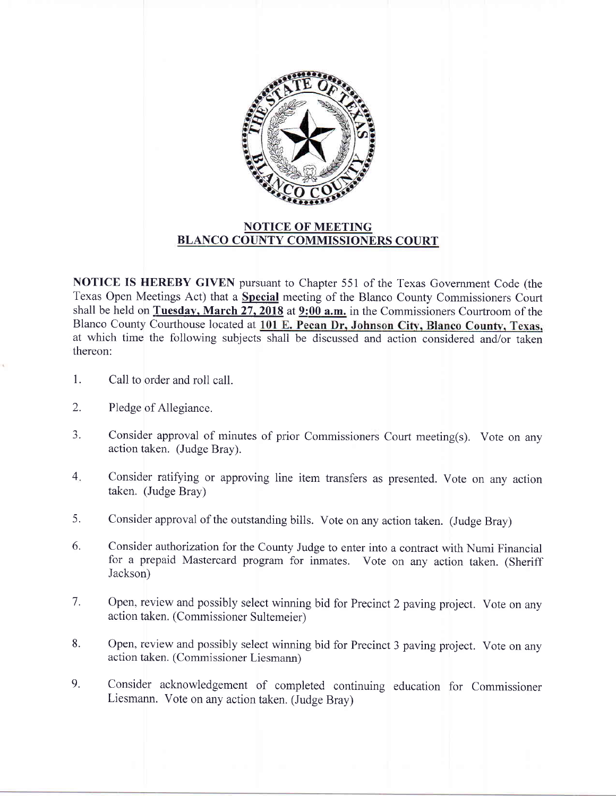

## NOTICE OF MEETING BLANCO COUNTY COMMISSIONERS COURT

**NOTICE IS HEREBY GIVEN** pursuant to Chapter 551 of the Texas Government Code (the Texas Open Meetings Act) that a **Special** meeting of the Blanco County Commissioners Court shall be held on Tuesday, March 27, 2018 at 9:00 a.m. in the Commissioners Courtroom of the Blanco County Courthouse located at 101 E. Pecan Dr, Johnson City, Blanco County, Texas, at which time the following subjects shall be discussed and action considered and/or taken thereon:

- 1. Call to order and roll call.
- 2. Pledge of Allegiance.
- 3. Consider approval of minutes of prior Commissioners Court meeting(s). Vote on any action taken. (Judge Bray).
- 4 Consider ratifying or approving line item transfers as presented. Vote on any action taken. (Judge Bray)
- 5. Consider approval of the outstanding bills. Vote on any action taken. (Judge Bray)
- 6. Consider authorization for the County Judge to enter into a contract with Numi Financial for a prepaid Mastercard program for inmates. Vote on any action taken. (Sheriff Jackson)
- 7. Open, review and possibly select winning bid for Precinct 2 paving project. Vote on any action taken. (Commissioner Sultemeier)
- Open, review and possibly select winning bid for Precinct 3 paving project. Vote on any action taken. (Commissioner Liesmann) 8.
- Consider acknowledgement of completed continuing education for Commissioner Liesmann. Vote on any action taken. (Judge Bray) 9.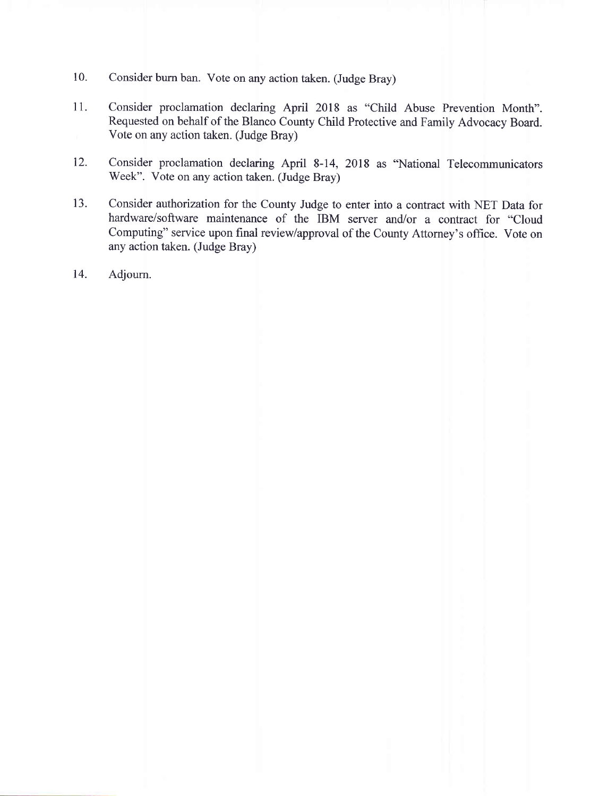- 10. Consider burn ban. Vote on any action taken. (Judge Bray)
- 11. Consider proclamation declaring April 2018 as "Child Abuse Prevention Month". Requested on behalf of the Blanco County Child Protective and Family Advocacy Board. Vote on any action taken. (Judge Bray)
- 12. Consider proclamation declaring April 8-14, 2018 as "National Telecommunicators Week". Vote on any action taken. (Judge Bray)
- 13. Consider authorization for the County Judge to enter into a contract with NET Data for hardware/software maintenance of the IBM server and/or a contract for "Cloud Computing" service upon final review/approval of the County Attorney's office. Vote on any action taken. (Judge Bray)
- 14. Adjourn.